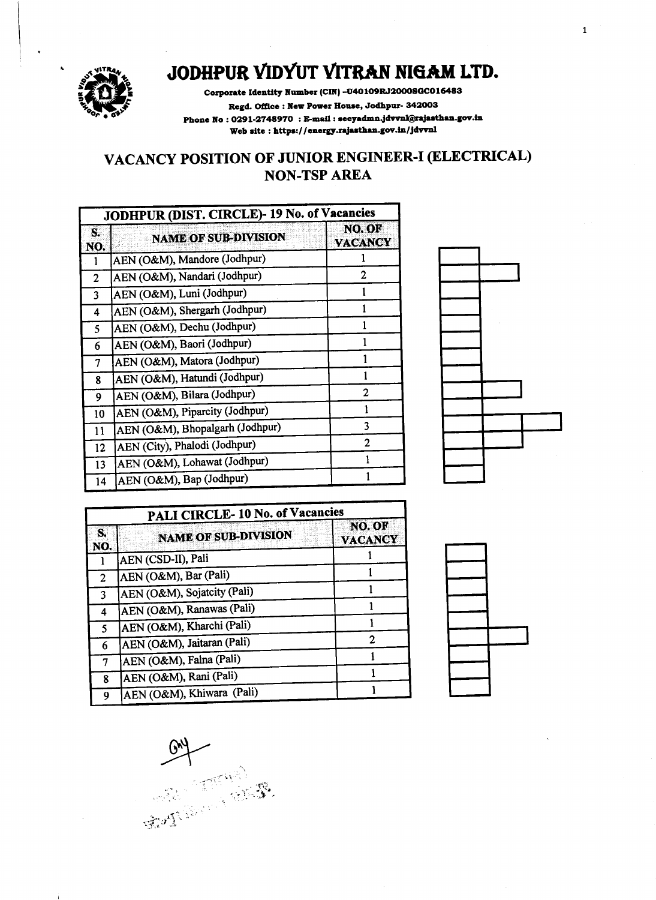

 $\mathbf{r}$ 

## JODHPUR VIDYUT VITRAN NIGAM LTD.

Corporate Identity Number (CIN) -U40109RJ2000SGC016483 Regd. Office: New Power House, Jodhpur- 342003 Phone No: 0291-2748970: E-mail: secyadmn.jdvvnl@rajasthan.gov.in Web site: https://energy.rajasthan.gov.in/jdvvnl

## VACANCY POSITION OF JUNIOR ENGINEER-I (ELECTRICAL) **NON-TSP AREA**

| JODHPUR (DIST. CIRCLE)-19 No. of Vacancies |                                 |                          |
|--------------------------------------------|---------------------------------|--------------------------|
| S.<br>NO.                                  | <b>NAME OF SUB-DIVISION</b>     | NO. OF<br><b>VACANCY</b> |
|                                            | AEN (O&M), Mandore (Jodhpur)    |                          |
| 2                                          | AEN (O&M), Nandari (Jodhpur)    | 2                        |
| $\overline{\mathbf{3}}$                    | AEN (O&M), Luni (Jodhpur)       |                          |
| 4                                          | AEN (O&M), Shergarh (Jodhpur)   |                          |
| 5                                          | AEN (O&M), Dechu (Jodhpur)      |                          |
| 6                                          | AEN (O&M), Baori (Jodhpur)      | 1                        |
| 7                                          | AEN (O&M), Matora (Jodhpur)     |                          |
| 8                                          | AEN (O&M), Hatundi (Jodhpur)    | 1                        |
| 9                                          | AEN (O&M), Bilara (Jodhpur)     | 2                        |
| 10                                         | AEN (O&M), Piparcity (Jodhpur)  | 1                        |
| 11                                         | AEN (O&M), Bhopalgarh (Jodhpur) | 3                        |
| 12                                         | AEN (City), Phalodi (Jodhpur)   | 2                        |
| 13                                         | AEN (O&M), Lohawat (Jodhpur)    | 1                        |
| 14                                         | AEN (O&M), Bap (Jodhpur)        |                          |



 $\mathbf 1$ 

| PALI CIRCLE-10 No. of Vacancies |                             |                          |
|---------------------------------|-----------------------------|--------------------------|
| S.<br>NO.                       | <b>NAME OF SUB-DIVISION</b> | NO. OF<br><b>VACANCY</b> |
|                                 | AEN (CSD-II), Pali          |                          |
| 2                               | AEN (O&M), Bar (Pali)       |                          |
| 3                               | AEN (O&M), Sojatcity (Pali) |                          |
| 4                               | AEN (O&M), Ranawas (Pali)   |                          |
| 5                               | AEN (O&M), Kharchi (Pali)   |                          |
| 6                               | AEN (O&M), Jaitaran (Pali)  | 2                        |
| 7                               | AEN (O&M), Falna (Pali)     |                          |
| 8                               | AEN (O&M), Rani (Pali)      |                          |
| Q                               | AEN (O&M), Khiwara (Pali)   |                          |



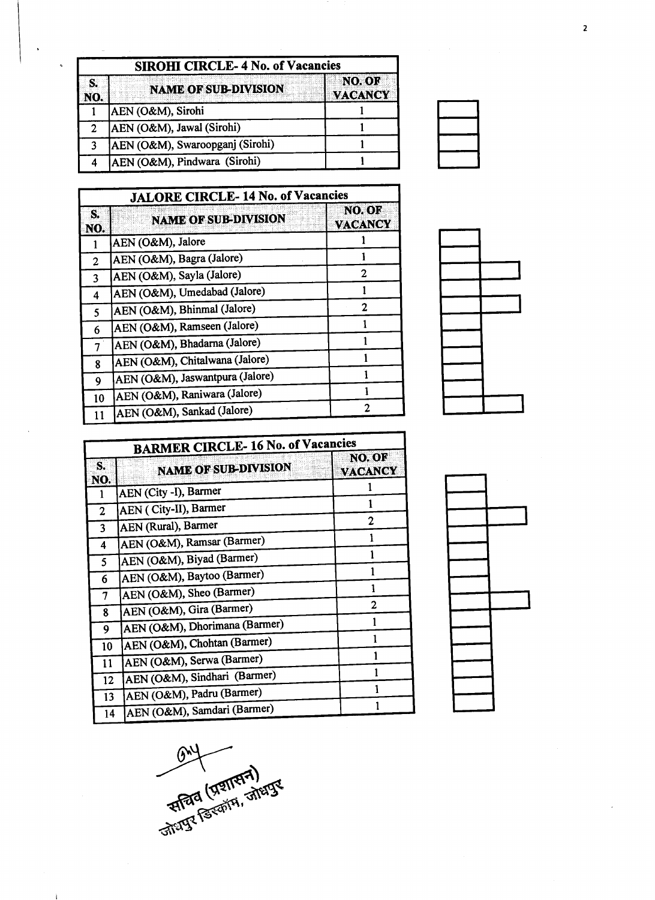|           | <b>SIROHI CIRCLE-4 No. of Vacancies</b> |                                 |  |
|-----------|-----------------------------------------|---------------------------------|--|
| S.<br>NO. | <b>NAME OF SUB-DIVISION</b>             | <b>NO. OF</b><br><b>VACANCY</b> |  |
|           | AEN (O&M), Sirohi                       |                                 |  |
| 2         | AEN (O&M), Jawal (Sirohi)               |                                 |  |
| 2         | AEN (O&M), Swaroopganj (Sirohi)         |                                 |  |
|           | AEN (O&M), Pindwara (Sirohi)            |                                 |  |

| <b>JALORE CIRCLE-14 No. of Vacancies</b> |                                 |                         |
|------------------------------------------|---------------------------------|-------------------------|
| S.<br>NO.                                | <b>NAME OF SUB-DIVISION</b>     | NO.OE<br><b>VACANCY</b> |
|                                          | AEN (O&M), Jalore               |                         |
| 2                                        | AEN (O&M), Bagra (Jalore)       |                         |
| 3                                        | AEN (O&M), Sayla (Jalore)       | 2                       |
| 4                                        | AEN (O&M), Umedabad (Jalore)    |                         |
| 5                                        | AEN (O&M), Bhinmal (Jalore)     | 2                       |
| 6.                                       | AEN (O&M), Ramseen (Jalore)     |                         |
| 7                                        | AEN (O&M), Bhadarna (Jalore)    |                         |
| 8                                        | AEN (O&M), Chitalwana (Jalore)  |                         |
| 9                                        | AEN (O&M), Jaswantpura (Jalore) |                         |
| 10                                       | AEN (O&M), Raniwara (Jalore)    |                         |
| 11                                       | AEN (O&M), Sankad (Jalore)      | 2                       |



| <b>BARMER CIRCLE-16 No. of Vacancies</b> |                               |                          |
|------------------------------------------|-------------------------------|--------------------------|
| S.<br>NO.                                | <b>NAME OF SUB-DIVISION</b>   | NO. OF<br><b>VACANCY</b> |
| 1                                        | AEN (City -I), Barmer         |                          |
| $\overline{2}$                           | AEN ( City-II), Barmer        |                          |
| 3                                        | AEN (Rural), Barmer           | 2                        |
| 4                                        | AEN (O&M), Ramsar (Barmer)    |                          |
| 5                                        | AEN (O&M), Biyad (Barmer)     |                          |
| 6                                        | AEN (O&M), Baytoo (Barmer)    |                          |
| 7                                        | AEN (O&M), Sheo (Barmer)      |                          |
| 8                                        | AEN (O&M), Gira (Barmer)      | 2                        |
| 9                                        | AEN (O&M), Dhorimana (Barmer) |                          |
| 10                                       | AEN (O&M), Chohtan (Barmer)   |                          |
| 11                                       | AEN (O&M), Serwa (Barmer)     |                          |
| 12                                       | AEN (O&M), Sindhari (Barmer)  |                          |
| 13                                       | AEN (O&M), Padru (Barmer)     |                          |
| 14                                       | AEN (O&M), Samdari (Barmer)   |                          |





 $\mathbf i$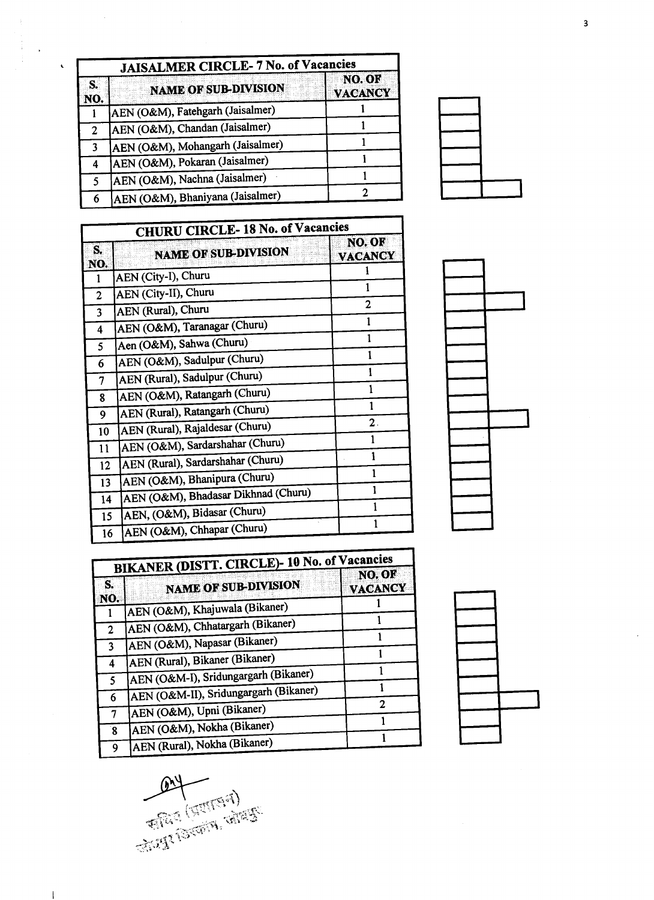| <b>JAISALMER CIRCLE- 7 No. of Vacancies</b> |                                  |                         |
|---------------------------------------------|----------------------------------|-------------------------|
| S.<br>NO.                                   | <b>NAME OF SUB-DIVISION</b>      | NO.OE<br><b>VACANCY</b> |
|                                             | AEN (O&M), Fatehgarh (Jaisalmer) |                         |
| $\overline{2}$                              | AEN (O&M), Chandan (Jaisalmer)   |                         |
| 3                                           | AEN (O&M), Mohangarh (Jaisalmer) |                         |
| 4                                           | AEN (O&M), Pokaran (Jaisalmer)   |                         |
| 5                                           | AEN (O&M), Nachna (Jaisalmer)    |                         |
| 6                                           | AEN (O&M), Bhaniyana (Jaisalmer) |                         |

 $\mathbf{v}$ 

 $\hat{\mathbf{v}}$ 

| <b>CHURU CIRCLE-18 No. of Vacancies</b> |                                     |                          |
|-----------------------------------------|-------------------------------------|--------------------------|
| S.<br>NO.                               | <b>NAME OF SUB-DIVISION</b>         | NO. OF<br><b>VACANCY</b> |
| 1                                       | AEN (City-I), Churu                 |                          |
| $\overline{2}$                          | AEN (City-II), Churu                | 1                        |
| 3                                       | AEN (Rural), Churu                  | $\overline{2}$           |
| 4                                       | AEN (O&M), Taranagar (Churu)        | 1                        |
| 5                                       | Aen (O&M), Sahwa (Churu)            |                          |
| 6                                       | AEN (O&M), Sadulpur (Churu)         | 1                        |
| 7                                       | AEN (Rural), Sadulpur (Churu)       | 1                        |
| 8                                       | AEN (O&M), Ratangarh (Churu)        |                          |
| 9                                       | AEN (Rural), Ratangarh (Churu)      |                          |
| 10                                      | AEN (Rural), Rajaldesar (Churu)     | $\mathbf 2$ .            |
| 11                                      | AEN (O&M), Sardarshahar (Churu)     |                          |
| 12                                      | AEN (Rural), Sardarshahar (Churu)   |                          |
| 13                                      | AEN (O&M), Bhanipura (Churu)        | 1                        |
| 14                                      | AEN (O&M), Bhadasar Dikhnad (Churu) | 1                        |
| 15                                      | AEN, (O&M), Bidasar (Churu)         |                          |
|                                         | AEN (O&M), Chhapar (Churu)          |                          |
| 16                                      |                                     |                          |



| BIKANER (DISTT. CIRCLE)- 10 No. of Vacancies |                                       |                          |
|----------------------------------------------|---------------------------------------|--------------------------|
| S.<br>NO.                                    | <b>NAME OF SUB-DIVISION</b>           | NO. OF<br><b>VACANCY</b> |
|                                              | AEN (O&M), Khajuwala (Bikaner)        |                          |
| $\mathbf{2}$                                 | AEN (O&M), Chhatargarh (Bikaner)      |                          |
| 3                                            | AEN (O&M), Napasar (Bikaner)          |                          |
| 4                                            | AEN (Rural), Bikaner (Bikaner)        |                          |
| 5                                            | AEN (O&M-I), Sridungargarh (Bikaner)  |                          |
|                                              | AEN (O&M-II), Sridungargarh (Bikaner) |                          |
| 6                                            | AEN (O&M), Upni (Bikaner)             | 2                        |
| 7                                            | AEN (O&M), Nokha (Bikaner)            |                          |
| 8                                            |                                       |                          |
| 9                                            | AEN (Rural), Nokha (Bikaner)          |                          |



AV (STIFFIF)